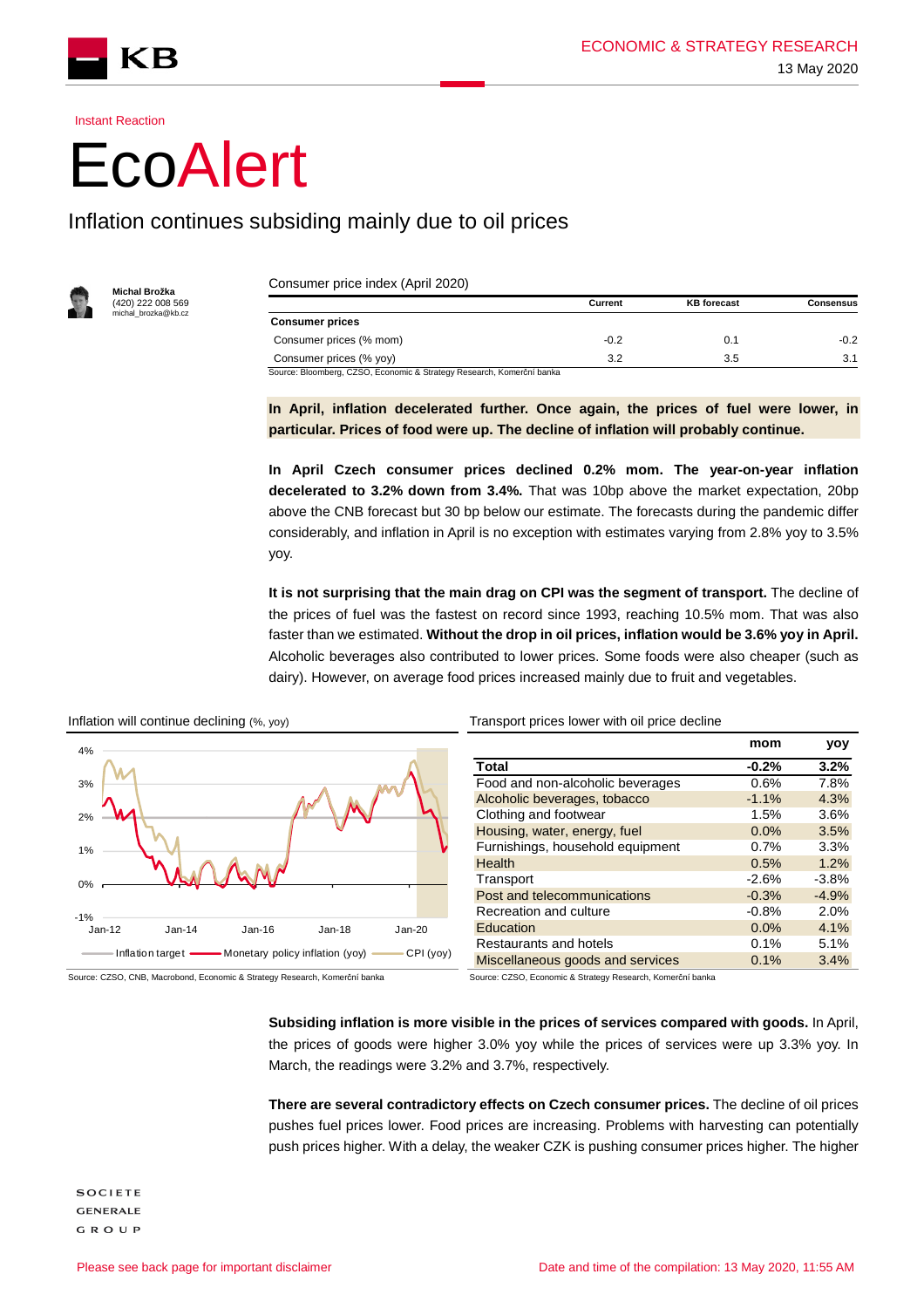Instant Reaction

KВ

## **EcoAlert**

## Inflation continues subsiding mainly due to oil prices



**Michal Brožka**  (420) 222 008 569 , === ccccc.<br>al\_brozka@kb.c

Consumer price index (April 2020)

|                                                                       | Current | <b>KB</b> forecast | Consensus |
|-----------------------------------------------------------------------|---------|--------------------|-----------|
| <b>Consumer prices</b>                                                |         |                    |           |
| Consumer prices (% mom)                                               | $-0.2$  | 0.1                | $-0.2$    |
| Consumer prices (% yoy)                                               | 3.2     | 3.5                | 3.1       |
| Source: Bloomberg, CZSO, Economic & Strategy Research, Komerční banka |         |                    |           |

**In April, inflation decelerated further. Once again, the prices of fuel were lower, in particular. Prices of food were up. The decline of inflation will probably continue.** 

**In April Czech consumer prices declined 0.2% mom. The year-on-year inflation decelerated to 3.2% down from 3.4%.** That was 10bp above the market expectation, 20bp above the CNB forecast but 30 bp below our estimate. The forecasts during the pandemic differ considerably, and inflation in April is no exception with estimates varying from 2.8% yoy to 3.5% yoy.

**It is not surprising that the main drag on CPI was the segment of transport.** The decline of the prices of fuel was the fastest on record since 1993, reaching 10.5% mom. That was also faster than we estimated. **Without the drop in oil prices, inflation would be 3.6% yoy in April.** Alcoholic beverages also contributed to lower prices. Some foods were also cheaper (such as dairy). However, on average food prices increased mainly due to fruit and vegetables.



| mom     | yoy     |
|---------|---------|
| $-0.2%$ | 3.2%    |
| 0.6%    | 7.8%    |
| $-1.1%$ | 4.3%    |
| 1.5%    | 3.6%    |
| 0.0%    | 3.5%    |
| 0.7%    | 3.3%    |
| 0.5%    | 1.2%    |
| $-2.6%$ | $-3.8%$ |
| $-0.3%$ | $-4.9%$ |
| $-0.8%$ | 2.0%    |
| 0.0%    | 4.1%    |
| 0.1%    | 5.1%    |
| 0.1%    | 3.4%    |
|         |         |

Source: CZSO, CNB, Macrobond, Economic & Strategy Research, Komerční banka Source: CZSO, Economic & Strategy Research, Komerční banka

**Subsiding inflation is more visible in the prices of services compared with goods.** In April, the prices of goods were higher 3.0% yoy while the prices of services were up 3.3% yoy. In March, the readings were 3.2% and 3.7%, respectively.

**There are several contradictory effects on Czech consumer prices.** The decline of oil prices pushes fuel prices lower. Food prices are increasing. Problems with harvesting can potentially push prices higher. With a delay, the weaker CZK is pushing consumer prices higher. The higher

**SOCIETE GENERALE** GROUP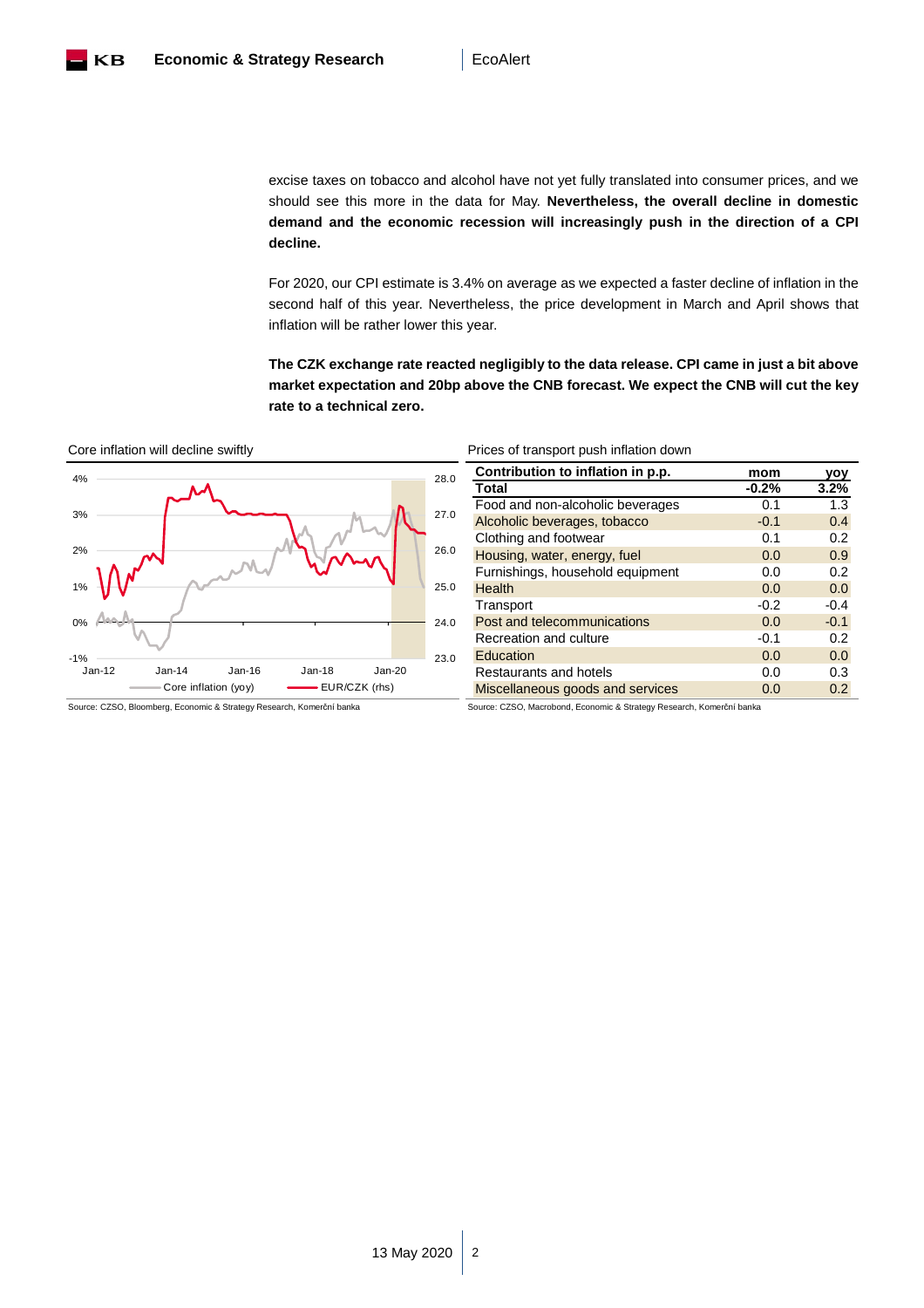

excise taxes on tobacco and alcohol have not yet fully translated into consumer prices, and we should see this more in the data for May. **Nevertheless, the overall decline in domestic demand and the economic recession will increasingly push in the direction of a CPI decline.** 

For 2020, our CPI estimate is 3.4% on average as we expected a faster decline of inflation in the second half of this year. Nevertheless, the price development in March and April shows that inflation will be rather lower this year.

**The CZK exchange rate reacted negligibly to the data release. CPI came in just a bit above market expectation and 20bp above the CNB forecast. We expect the CNB will cut the key rate to a technical zero.** 





| Prices of transport push inflation down<br>Core inflation will decline swiftly |
|--------------------------------------------------------------------------------|
|--------------------------------------------------------------------------------|

| Contribution to inflation in p.p. | mom     | yoy    |
|-----------------------------------|---------|--------|
| Total                             | $-0.2%$ | 3.2%   |
| Food and non-alcoholic beverages  | 0.1     | 1.3    |
| Alcoholic beverages, tobacco      | $-0.1$  | 0.4    |
| Clothing and footwear             | 0.1     | 0.2    |
| Housing, water, energy, fuel      | 0.0     | 0.9    |
| Furnishings, household equipment  | 0.0     | 0.2    |
| Health                            | 0.0     | 0.0    |
| Transport                         | $-0.2$  | $-0.4$ |
| Post and telecommunications       | 0.0     | $-0.1$ |
| Recreation and culture            | $-0.1$  | 0.2    |
| Education                         | 0.0     | 0.0    |
| Restaurants and hotels            | 0.0     | 0.3    |
| Miscellaneous goods and services  | 0.0     | 0.2    |

Source: CZSO, Bloomberg, Economic & Strategy Research, Komerční banka Source: CZSO, Macrobond, Economic & Strategy Research, Komerční banka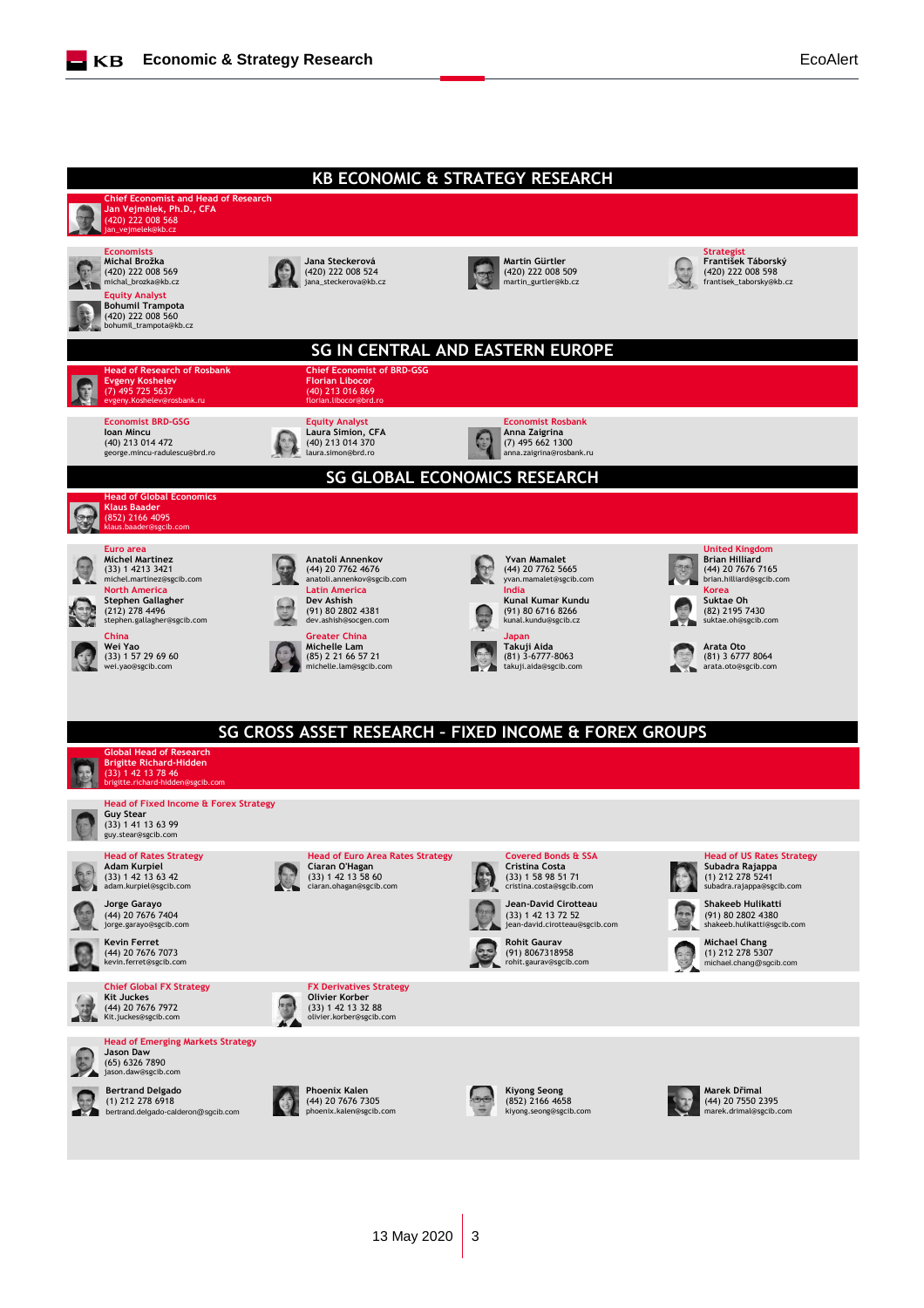